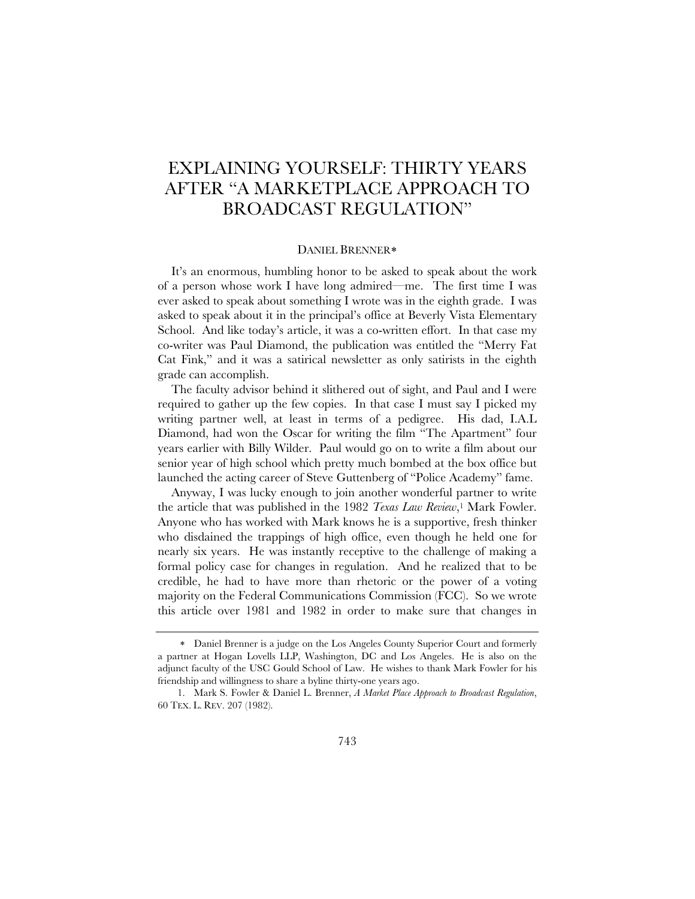## EXPLAINING YOURSELF: THIRTY YEARS AFTER "A MARKETPLACE APPROACH TO BROADCAST REGULATION"

## DANIEL BRENNER

It's an enormous, humbling honor to be asked to speak about the work of a person whose work I have long admired—me. The first time I was ever asked to speak about something I wrote was in the eighth grade. I was asked to speak about it in the principal's office at Beverly Vista Elementary School. And like today's article, it was a co-written effort. In that case my co-writer was Paul Diamond, the publication was entitled the "Merry Fat Cat Fink," and it was a satirical newsletter as only satirists in the eighth grade can accomplish.

The faculty advisor behind it slithered out of sight, and Paul and I were required to gather up the few copies. In that case I must say I picked my writing partner well, at least in terms of a pedigree. His dad, I.A.L Diamond, had won the Oscar for writing the film "The Apartment" four years earlier with Billy Wilder. Paul would go on to write a film about our senior year of high school which pretty much bombed at the box office but launched the acting career of Steve Guttenberg of "Police Academy" fame.

Anyway, I was lucky enough to join another wonderful partner to write the article that was published in the 1982 *Texas Law Review*,1 Mark Fowler. Anyone who has worked with Mark knows he is a supportive, fresh thinker who disdained the trappings of high office, even though he held one for nearly six years. He was instantly receptive to the challenge of making a formal policy case for changes in regulation. And he realized that to be credible, he had to have more than rhetoric or the power of a voting majority on the Federal Communications Commission (FCC). So we wrote this article over 1981 and 1982 in order to make sure that changes in

Daniel Brenner is a judge on the Los Angeles County Superior Court and formerly a partner at Hogan Lovells LLP, Washington, DC and Los Angeles. He is also on the adjunct faculty of the USC Gould School of Law. He wishes to thank Mark Fowler for his friendship and willingness to share a byline thirty-one years ago.

 <sup>1.</sup> Mark S. Fowler & Daniel L. Brenner, *A Market Place Approach to Broadcast Regulation*, 60 TEX. L. REV. 207 (1982).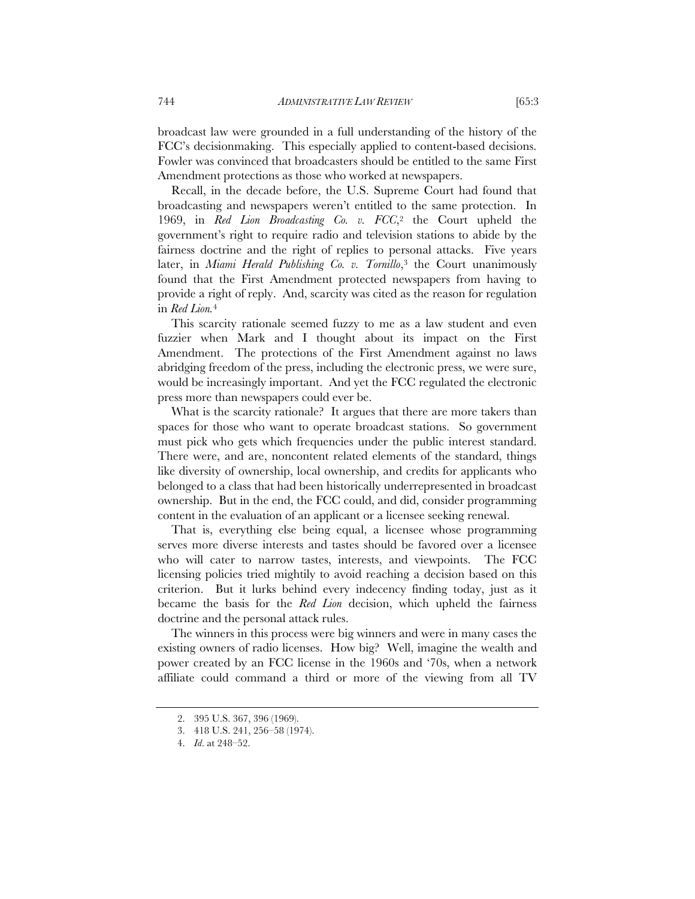broadcast law were grounded in a full understanding of the history of the FCC's decisionmaking. This especially applied to content-based decisions. Fowler was convinced that broadcasters should be entitled to the same First Amendment protections as those who worked at newspapers.

Recall, in the decade before, the U.S. Supreme Court had found that broadcasting and newspapers weren't entitled to the same protection. In 1969, in *Red Lion Broadcasting Co. v. FCC*,2 the Court upheld the government's right to require radio and television stations to abide by the fairness doctrine and the right of replies to personal attacks. Five years later, in *Miami Herald Publishing Co. v. Tornillo*,<sup>3</sup> the Court unanimously found that the First Amendment protected newspapers from having to provide a right of reply. And, scarcity was cited as the reason for regulation in *Red Lion.*<sup>4</sup>

This scarcity rationale seemed fuzzy to me as a law student and even fuzzier when Mark and I thought about its impact on the First Amendment. The protections of the First Amendment against no laws abridging freedom of the press, including the electronic press, we were sure, would be increasingly important. And yet the FCC regulated the electronic press more than newspapers could ever be.

What is the scarcity rationale? It argues that there are more takers than spaces for those who want to operate broadcast stations. So government must pick who gets which frequencies under the public interest standard. There were, and are, noncontent related elements of the standard, things like diversity of ownership, local ownership, and credits for applicants who belonged to a class that had been historically underrepresented in broadcast ownership. But in the end, the FCC could, and did, consider programming content in the evaluation of an applicant or a licensee seeking renewal.

That is, everything else being equal, a licensee whose programming serves more diverse interests and tastes should be favored over a licensee who will cater to narrow tastes, interests, and viewpoints. The FCC licensing policies tried mightily to avoid reaching a decision based on this criterion. But it lurks behind every indecency finding today, just as it became the basis for the *Red Lion* decision, which upheld the fairness doctrine and the personal attack rules.

The winners in this process were big winners and were in many cases the existing owners of radio licenses. How big? Well, imagine the wealth and power created by an FCC license in the 1960s and '70s, when a network affiliate could command a third or more of the viewing from all TV

 <sup>2. 395</sup> U.S. 367, 396 (1969).

 <sup>3. 418</sup> U.S. 241, 256–58 (1974).

 <sup>4.</sup> *Id*. at 248–52.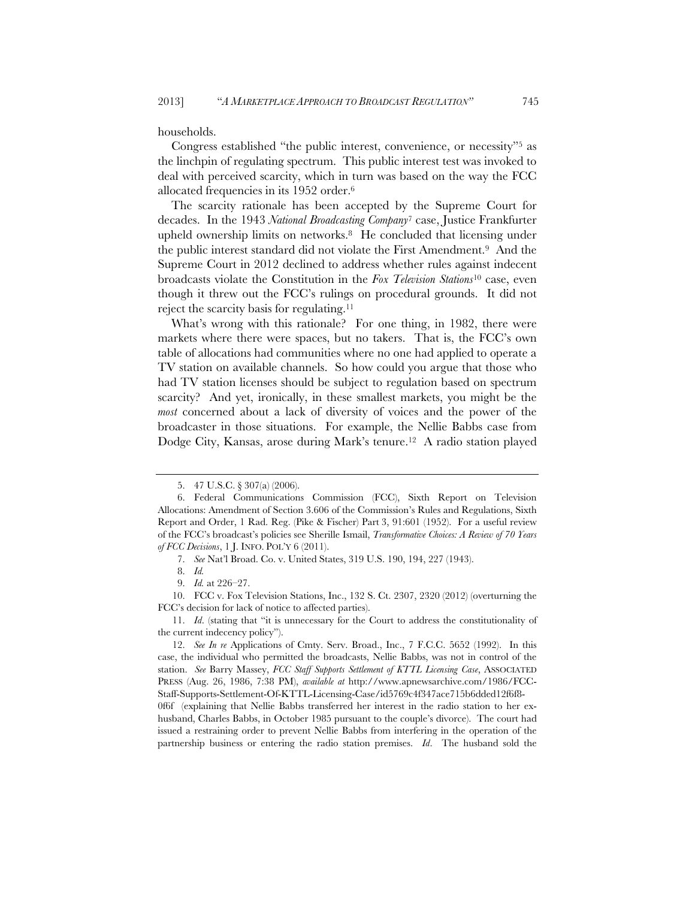households.

Congress established "the public interest, convenience, or necessity"5 as the linchpin of regulating spectrum. This public interest test was invoked to deal with perceived scarcity, which in turn was based on the way the FCC allocated frequencies in its 1952 order.6

The scarcity rationale has been accepted by the Supreme Court for decades. In the 1943 *National Broadcasting Company*<sup>7</sup> case, Justice Frankfurter upheld ownership limits on networks.8 He concluded that licensing under the public interest standard did not violate the First Amendment.9 And the Supreme Court in 2012 declined to address whether rules against indecent broadcasts violate the Constitution in the *Fox Television Stations*10 case, even though it threw out the FCC's rulings on procedural grounds. It did not reject the scarcity basis for regulating.11

What's wrong with this rationale? For one thing, in 1982, there were markets where there were spaces, but no takers. That is, the FCC's own table of allocations had communities where no one had applied to operate a TV station on available channels. So how could you argue that those who had TV station licenses should be subject to regulation based on spectrum scarcity? And yet, ironically, in these smallest markets, you might be the *most* concerned about a lack of diversity of voices and the power of the broadcaster in those situations. For example, the Nellie Babbs case from Dodge City, Kansas, arose during Mark's tenure.12 A radio station played

<sup>5. 47</sup> U.S.C. § 307(a) (2006).

 <sup>6.</sup> Federal Communications Commission (FCC), Sixth Report on Television Allocations: Amendment of Section 3.606 of the Commission's Rules and Regulations, Sixth Report and Order, 1 Rad. Reg. (Pike & Fischer) Part 3, 91:601 (1952). For a useful review of the FCC's broadcast's policies see Sherille Ismail, *Transformative Choices: A Review of 70 Years of FCC Decisions*, 1 J. INFO. POL'Y 6 (2011).

 <sup>7.</sup> *See* Nat'l Broad. Co. v. United States, 319 U.S. 190, 194, 227 (1943).

 <sup>8.</sup> *Id.*

 <sup>9.</sup> *Id.* at 226–27.

 <sup>10.</sup> FCC v. Fox Television Stations, Inc., 132 S. Ct. 2307, 2320 (2012) (overturning the FCC's decision for lack of notice to affected parties).

 <sup>11.</sup> *Id*. (stating that "it is unnecessary for the Court to address the constitutionality of the current indecency policy").

 <sup>12.</sup> *See In re* Applications of Cmty. Serv. Broad., Inc., 7 F.C.C. 5652 (1992). In this case, the individual who permitted the broadcasts, Nellie Babbs, was not in control of the station. *See* Barry Massey, *FCC Staff Supports Settlement of KTTL Licensing Case*, ASSOCIATED PRESS (Aug. 26, 1986, 7:38 PM), *available at* http://www.apnewsarchive.com/1986/FCC-Staff-Supports-Settlement-Of-KTTL-Licensing-Case/id5769c4f347ace715b6dded12f6f8- 0f6f (explaining that Nellie Babbs transferred her interest in the radio station to her ex-

husband, Charles Babbs, in October 1985 pursuant to the couple's divorce). The court had issued a restraining order to prevent Nellie Babbs from interfering in the operation of the partnership business or entering the radio station premises. *Id*. The husband sold the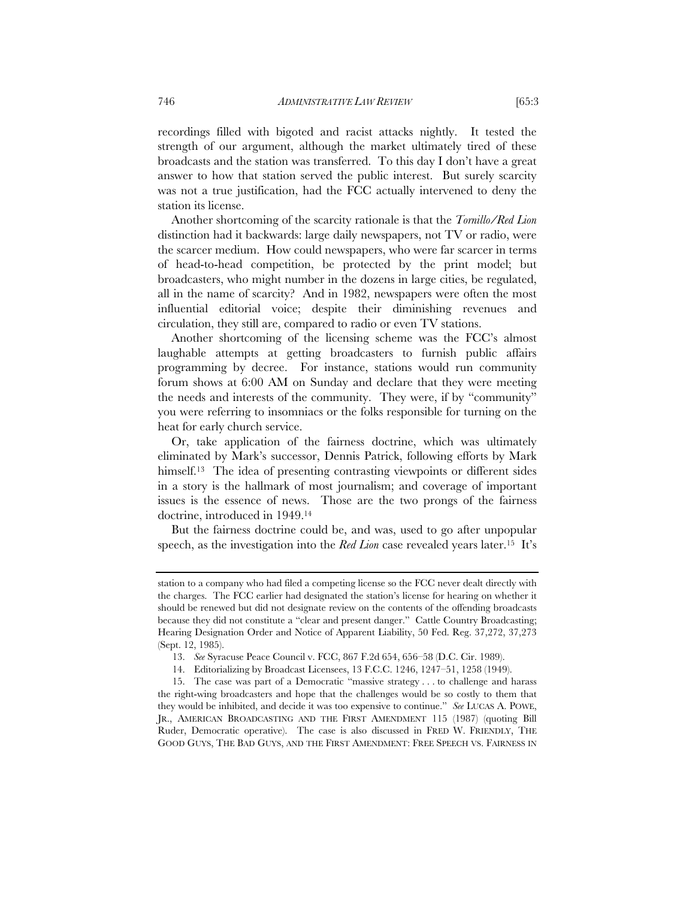recordings filled with bigoted and racist attacks nightly. It tested the strength of our argument, although the market ultimately tired of these broadcasts and the station was transferred. To this day I don't have a great answer to how that station served the public interest. But surely scarcity was not a true justification, had the FCC actually intervened to deny the station its license.

Another shortcoming of the scarcity rationale is that the *Tornillo/Red Lion* distinction had it backwards: large daily newspapers, not TV or radio, were the scarcer medium. How could newspapers, who were far scarcer in terms of head-to-head competition, be protected by the print model; but broadcasters, who might number in the dozens in large cities, be regulated, all in the name of scarcity? And in 1982, newspapers were often the most influential editorial voice; despite their diminishing revenues and circulation, they still are, compared to radio or even TV stations.

Another shortcoming of the licensing scheme was the FCC's almost laughable attempts at getting broadcasters to furnish public affairs programming by decree. For instance, stations would run community forum shows at 6:00 AM on Sunday and declare that they were meeting the needs and interests of the community. They were, if by "community" you were referring to insomniacs or the folks responsible for turning on the heat for early church service.

Or, take application of the fairness doctrine, which was ultimately eliminated by Mark's successor, Dennis Patrick, following efforts by Mark himself.<sup>13</sup> The idea of presenting contrasting viewpoints or different sides in a story is the hallmark of most journalism; and coverage of important issues is the essence of news. Those are the two prongs of the fairness doctrine, introduced in 1949.14

But the fairness doctrine could be, and was, used to go after unpopular speech, as the investigation into the *Red Lion* case revealed years later.15 It's

station to a company who had filed a competing license so the FCC never dealt directly with the charges. The FCC earlier had designated the station's license for hearing on whether it should be renewed but did not designate review on the contents of the offending broadcasts because they did not constitute a "clear and present danger." Cattle Country Broadcasting; Hearing Designation Order and Notice of Apparent Liability, 50 Fed. Reg. 37,272, 37,273 (Sept. 12, 1985).

 <sup>13.</sup> *See* Syracuse Peace Council v. FCC, 867 F.2d 654, 656–58 (D.C. Cir. 1989).

 <sup>14.</sup> Editorializing by Broadcast Licensees, 13 F.C.C. 1246, 1247–51, 1258 (1949).

 <sup>15.</sup> The case was part of a Democratic "massive strategy . . . to challenge and harass the right-wing broadcasters and hope that the challenges would be so costly to them that they would be inhibited, and decide it was too expensive to continue." *See* LUCAS A. POWE, JR., AMERICAN BROADCASTING AND THE FIRST AMENDMENT 115 (1987) (quoting Bill Ruder, Democratic operative). The case is also discussed in FRED W. FRIENDLY, THE GOOD GUYS, THE BAD GUYS, AND THE FIRST AMENDMENT: FREE SPEECH VS. FAIRNESS IN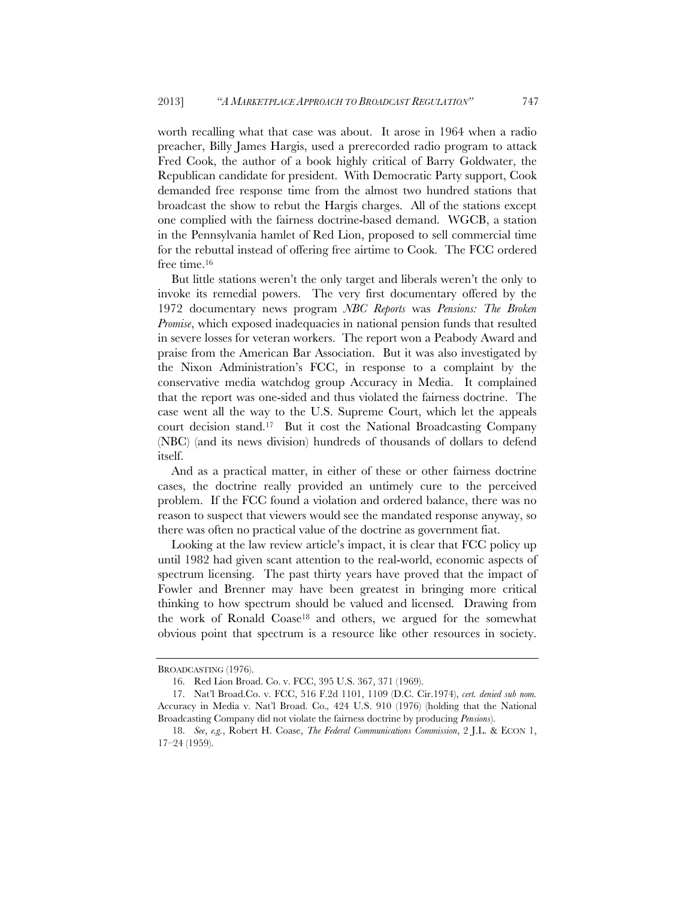worth recalling what that case was about. It arose in 1964 when a radio preacher, Billy James Hargis, used a prerecorded radio program to attack Fred Cook, the author of a book highly critical of Barry Goldwater, the Republican candidate for president. With Democratic Party support, Cook demanded free response time from the almost two hundred stations that broadcast the show to rebut the Hargis charges. All of the stations except one complied with the fairness doctrine-based demand. WGCB, a station in the Pennsylvania hamlet of Red Lion, proposed to sell commercial time for the rebuttal instead of offering free airtime to Cook. The FCC ordered free time.16

But little stations weren't the only target and liberals weren't the only to invoke its remedial powers. The very first documentary offered by the 1972 documentary news program *NBC Reports* was *Pensions: The Broken Promise*, which exposed inadequacies in national pension funds that resulted in severe losses for veteran workers. The report won a Peabody Award and praise from the American Bar Association. But it was also investigated by the Nixon Administration's FCC, in response to a complaint by the conservative media watchdog group Accuracy in Media. It complained that the report was one-sided and thus violated the fairness doctrine. The case went all the way to the U.S. Supreme Court, which let the appeals court decision stand.17 But it cost the National Broadcasting Company (NBC) (and its news division) hundreds of thousands of dollars to defend itself.

And as a practical matter, in either of these or other fairness doctrine cases, the doctrine really provided an untimely cure to the perceived problem. If the FCC found a violation and ordered balance, there was no reason to suspect that viewers would see the mandated response anyway, so there was often no practical value of the doctrine as government fiat.

Looking at the law review article's impact, it is clear that FCC policy up until 1982 had given scant attention to the real-world, economic aspects of spectrum licensing. The past thirty years have proved that the impact of Fowler and Brenner may have been greatest in bringing more critical thinking to how spectrum should be valued and licensed. Drawing from the work of Ronald Coase18 and others, we argued for the somewhat obvious point that spectrum is a resource like other resources in society.

BROADCASTING (1976).

 <sup>16.</sup> Red Lion Broad. Co. v. FCC, 395 U.S. 367, 371 (1969).

 <sup>17.</sup> Nat'l Broad.Co. v. FCC, 516 F.2d 1101, 1109 (D.C. Cir.1974), *cert. denied sub nom.*  Accuracy in Media v. Nat'l Broad. Co.*,* 424 U.S. 910 (1976) (holding that the National Broadcasting Company did not violate the fairness doctrine by producing *Pensions*).

 <sup>18.</sup> *See*, *e.g.*, Robert H. Coase, *The Federal Communications Commission*, 2 J.L. & ECON 1, 17–24 (1959).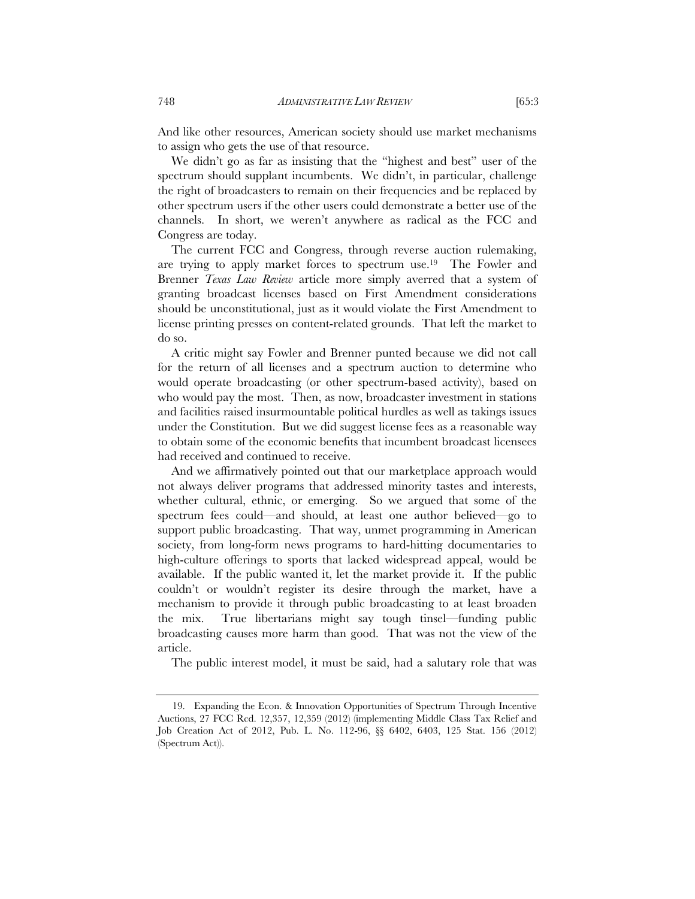And like other resources, American society should use market mechanisms to assign who gets the use of that resource.

We didn't go as far as insisting that the "highest and best" user of the spectrum should supplant incumbents. We didn't, in particular, challenge the right of broadcasters to remain on their frequencies and be replaced by other spectrum users if the other users could demonstrate a better use of the channels. In short, we weren't anywhere as radical as the FCC and Congress are today.

The current FCC and Congress, through reverse auction rulemaking, are trying to apply market forces to spectrum use.19 The Fowler and Brenner *Texas Law Review* article more simply averred that a system of granting broadcast licenses based on First Amendment considerations should be unconstitutional, just as it would violate the First Amendment to license printing presses on content-related grounds. That left the market to do so.

A critic might say Fowler and Brenner punted because we did not call for the return of all licenses and a spectrum auction to determine who would operate broadcasting (or other spectrum-based activity), based on who would pay the most. Then, as now, broadcaster investment in stations and facilities raised insurmountable political hurdles as well as takings issues under the Constitution. But we did suggest license fees as a reasonable way to obtain some of the economic benefits that incumbent broadcast licensees had received and continued to receive.

And we affirmatively pointed out that our marketplace approach would not always deliver programs that addressed minority tastes and interests, whether cultural, ethnic, or emerging. So we argued that some of the spectrum fees could—and should, at least one author believed—go to support public broadcasting. That way, unmet programming in American society, from long-form news programs to hard-hitting documentaries to high-culture offerings to sports that lacked widespread appeal, would be available. If the public wanted it, let the market provide it. If the public couldn't or wouldn't register its desire through the market, have a mechanism to provide it through public broadcasting to at least broaden the mix. True libertarians might say tough tinsel—funding public broadcasting causes more harm than good. That was not the view of the article.

The public interest model, it must be said, had a salutary role that was

 <sup>19.</sup> Expanding the Econ. & Innovation Opportunities of Spectrum Through Incentive Auctions, 27 FCC Rcd. 12,357, 12,359 (2012) (implementing Middle Class Tax Relief and Job Creation Act of 2012, Pub. L. No. 112-96, §§ 6402, 6403, 125 Stat. 156 (2012) (Spectrum Act)).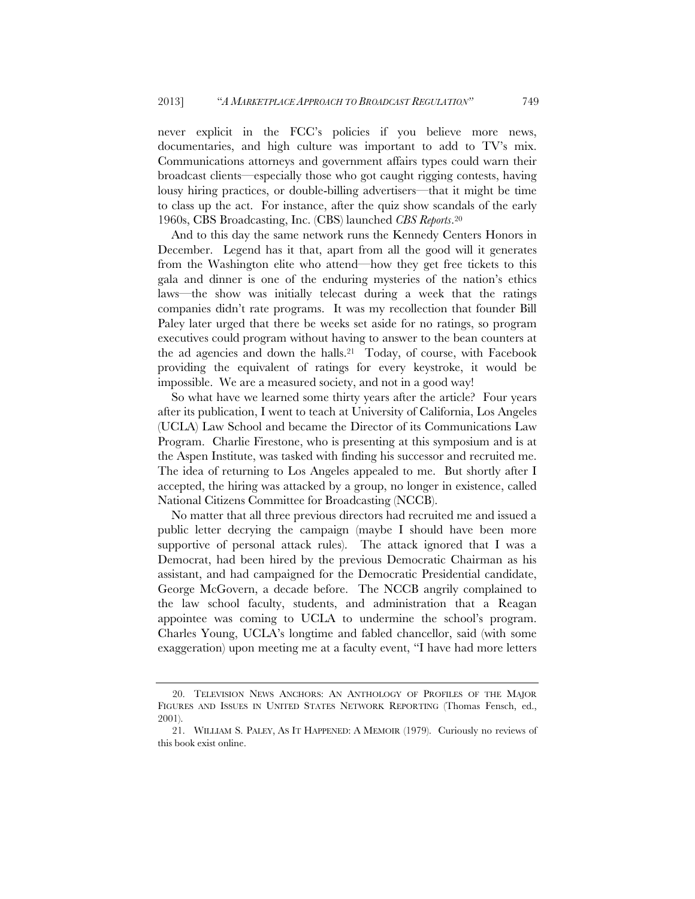never explicit in the FCC's policies if you believe more news, documentaries, and high culture was important to add to TV's mix. Communications attorneys and government affairs types could warn their broadcast clients—especially those who got caught rigging contests, having lousy hiring practices, or double-billing advertisers—that it might be time to class up the act. For instance, after the quiz show scandals of the early 1960s, CBS Broadcasting, Inc. (CBS) launched *CBS Reports*.20

And to this day the same network runs the Kennedy Centers Honors in December. Legend has it that, apart from all the good will it generates from the Washington elite who attend—how they get free tickets to this gala and dinner is one of the enduring mysteries of the nation's ethics laws—the show was initially telecast during a week that the ratings companies didn't rate programs. It was my recollection that founder Bill Paley later urged that there be weeks set aside for no ratings, so program executives could program without having to answer to the bean counters at the ad agencies and down the halls.21 Today, of course, with Facebook providing the equivalent of ratings for every keystroke, it would be impossible. We are a measured society, and not in a good way!

So what have we learned some thirty years after the article? Four years after its publication, I went to teach at University of California, Los Angeles (UCLA) Law School and became the Director of its Communications Law Program. Charlie Firestone, who is presenting at this symposium and is at the Aspen Institute, was tasked with finding his successor and recruited me. The idea of returning to Los Angeles appealed to me. But shortly after I accepted, the hiring was attacked by a group, no longer in existence, called National Citizens Committee for Broadcasting (NCCB).

No matter that all three previous directors had recruited me and issued a public letter decrying the campaign (maybe I should have been more supportive of personal attack rules). The attack ignored that I was a Democrat, had been hired by the previous Democratic Chairman as his assistant, and had campaigned for the Democratic Presidential candidate, George McGovern, a decade before. The NCCB angrily complained to the law school faculty, students, and administration that a Reagan appointee was coming to UCLA to undermine the school's program. Charles Young, UCLA's longtime and fabled chancellor, said (with some exaggeration) upon meeting me at a faculty event, "I have had more letters

 <sup>20.</sup> TELEVISION NEWS ANCHORS: AN ANTHOLOGY OF PROFILES OF THE MAJOR FIGURES AND ISSUES IN UNITED STATES NETWORK REPORTING (Thomas Fensch, ed., 2001).

 <sup>21.</sup> WILLIAM S. PALEY, AS IT HAPPENED: A MEMOIR (1979). Curiously no reviews of this book exist online.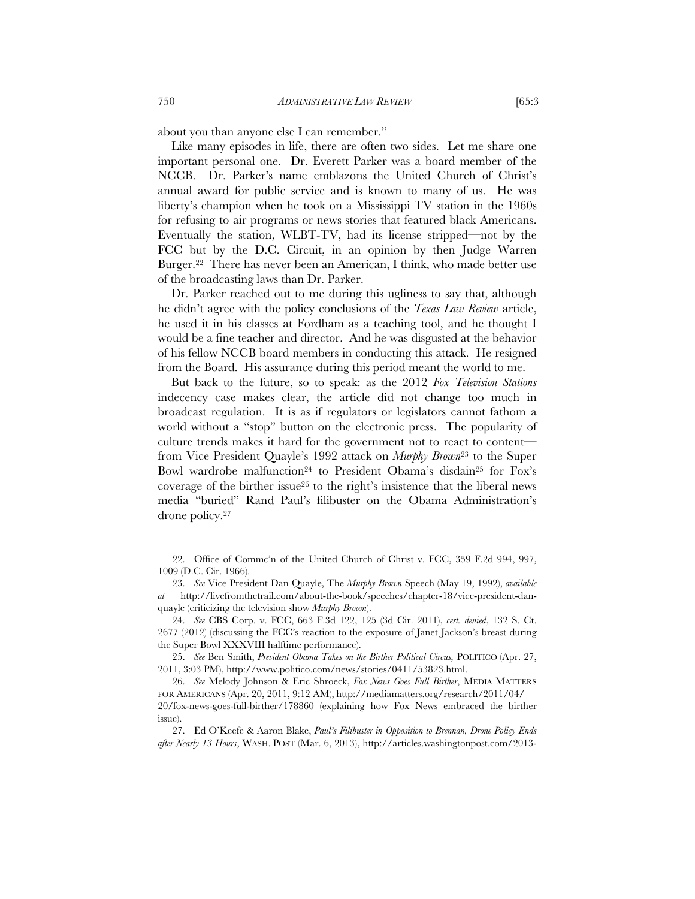about you than anyone else I can remember."

Like many episodes in life, there are often two sides. Let me share one important personal one. Dr. Everett Parker was a board member of the NCCB. Dr. Parker's name emblazons the United Church of Christ's annual award for public service and is known to many of us. He was liberty's champion when he took on a Mississippi TV station in the 1960s for refusing to air programs or news stories that featured black Americans. Eventually the station, WLBT-TV, had its license stripped—not by the FCC but by the D.C. Circuit, in an opinion by then Judge Warren Burger.22 There has never been an American, I think, who made better use of the broadcasting laws than Dr. Parker.

Dr. Parker reached out to me during this ugliness to say that, although he didn't agree with the policy conclusions of the *Texas Law Review* article, he used it in his classes at Fordham as a teaching tool, and he thought I would be a fine teacher and director. And he was disgusted at the behavior of his fellow NCCB board members in conducting this attack. He resigned from the Board. His assurance during this period meant the world to me.

But back to the future, so to speak: as the 2012 *Fox Television Stations* indecency case makes clear, the article did not change too much in broadcast regulation. It is as if regulators or legislators cannot fathom a world without a "stop" button on the electronic press. The popularity of culture trends makes it hard for the government not to react to content from Vice President Quayle's 1992 attack on *Murphy Brown*23 to the Super Bowl wardrobe malfunction<sup>24</sup> to President Obama's disdain<sup>25</sup> for Fox's coverage of the birther issue26 to the right's insistence that the liberal news media "buried" Rand Paul's filibuster on the Obama Administration's drone policy.27

 <sup>22.</sup> Office of Commc'n of the United Church of Christ v. FCC, 359 F.2d 994, 997, 1009 (D.C. Cir. 1966).

 <sup>23.</sup> *See* Vice President Dan Quayle, The *Murphy Brown* Speech (May 19, 1992), *available at* http://livefromthetrail.com/about-the-book/speeches/chapter-18/vice-president-danquayle (criticizing the television show *Murphy Brown*).

 <sup>24.</sup> *See* CBS Corp. v. FCC, 663 F.3d 122, 125 (3d Cir. 2011), *cert. denied*, 132 S. Ct. 2677 (2012) (discussing the FCC's reaction to the exposure of Janet Jackson's breast during the Super Bowl XXXVIII halftime performance).

 <sup>25.</sup> *See* Ben Smith, *President Obama Takes on the Birther Political Circus,* POLITICO (Apr. 27, 2011, 3:03 PM), http://www.politico.com/news/stories/0411/53823.html.

<sup>26.</sup> *See* Melody Johnson & Eric Shroeck, *Fox News Goes Full Birther*, MEDIA MATTERS FOR AMERICANS (Apr. 20, 2011, 9:12 AM), http://mediamatters.org/research/2011/04/ 20/fox-news-goes-full-birther/178860 (explaining how Fox News embraced the birther

issue).

<sup>27.</sup> Ed O'Keefe & Aaron Blake, *Paul's Filibuster in Opposition to Brennan, Drone Policy Ends after Nearly 13 Hours*, WASH. POST (Mar. 6, 2013), http://articles.washingtonpost.com/2013-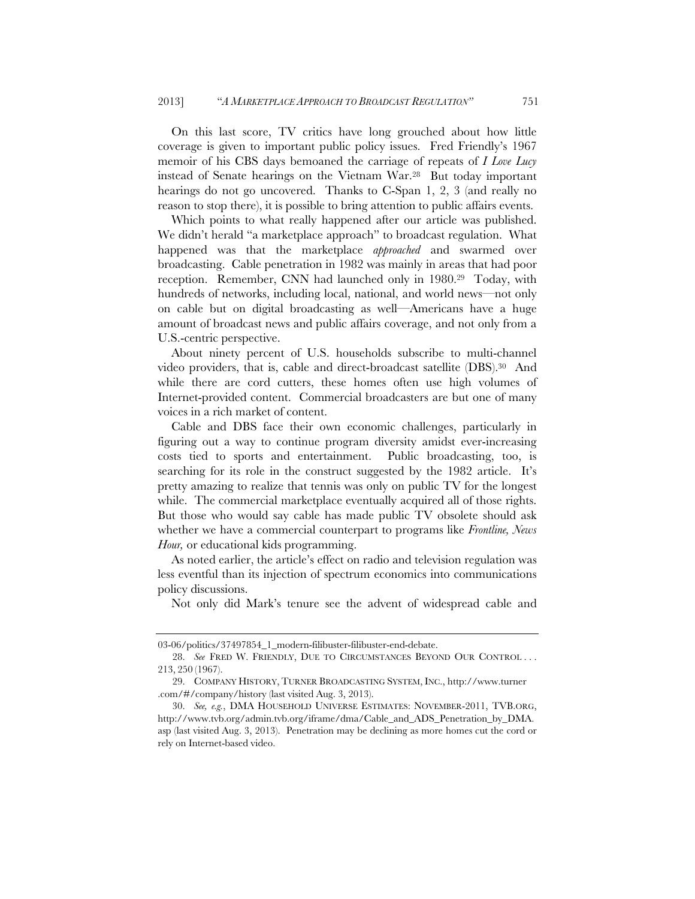On this last score, TV critics have long grouched about how little coverage is given to important public policy issues. Fred Friendly's 1967 memoir of his CBS days bemoaned the carriage of repeats of *I Love Lucy* instead of Senate hearings on the Vietnam War.28 But today important hearings do not go uncovered. Thanks to C-Span 1, 2, 3 (and really no reason to stop there), it is possible to bring attention to public affairs events.

Which points to what really happened after our article was published. We didn't herald "a marketplace approach" to broadcast regulation. What happened was that the marketplace *approached* and swarmed over broadcasting. Cable penetration in 1982 was mainly in areas that had poor reception. Remember, CNN had launched only in 1980.29 Today, with hundreds of networks, including local, national, and world news—not only on cable but on digital broadcasting as well—Americans have a huge amount of broadcast news and public affairs coverage, and not only from a U.S.-centric perspective.

About ninety percent of U.S. households subscribe to multi-channel video providers, that is, cable and direct-broadcast satellite (DBS).30 And while there are cord cutters, these homes often use high volumes of Internet-provided content. Commercial broadcasters are but one of many voices in a rich market of content.

Cable and DBS face their own economic challenges, particularly in figuring out a way to continue program diversity amidst ever-increasing costs tied to sports and entertainment. Public broadcasting, too, is searching for its role in the construct suggested by the 1982 article. It's pretty amazing to realize that tennis was only on public TV for the longest while. The commercial marketplace eventually acquired all of those rights. But those who would say cable has made public TV obsolete should ask whether we have a commercial counterpart to programs like *Frontline, News Hour,* or educational kids programming.

As noted earlier, the article's effect on radio and television regulation was less eventful than its injection of spectrum economics into communications policy discussions.

Not only did Mark's tenure see the advent of widespread cable and

<sup>03-06/</sup>politics/37497854\_1\_modern-filibuster-filibuster-end-debate.

 <sup>28.</sup> *See* FRED W. FRIENDLY, DUE TO CIRCUMSTANCES BEYOND OUR CONTROL . . . 213, 250 (1967).

 <sup>29.</sup> COMPANY HISTORY, TURNER BROADCASTING SYSTEM, INC., http://www.turner .com/#/company/history (last visited Aug. 3, 2013).

 <sup>30.</sup> *See, e.g.*, DMA HOUSEHOLD UNIVERSE ESTIMATES: NOVEMBER-2011, TVB.ORG, http://www.tvb.org/admin.tvb.org/iframe/dma/Cable\_and\_ADS\_Penetration\_by\_DMA. asp (last visited Aug. 3, 2013). Penetration may be declining as more homes cut the cord or rely on Internet-based video.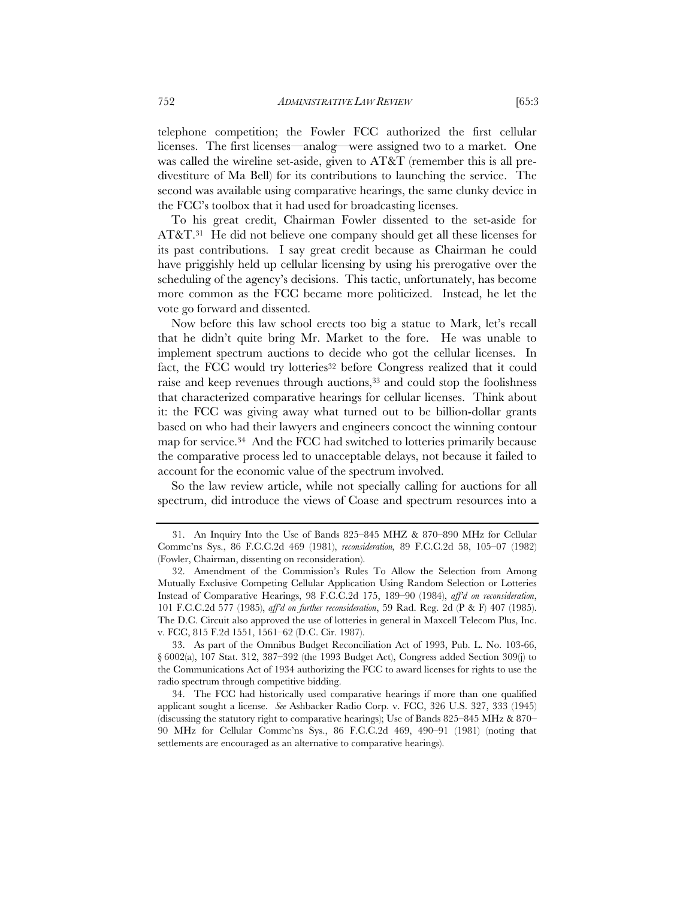telephone competition; the Fowler FCC authorized the first cellular licenses. The first licenses—analog—were assigned two to a market. One was called the wireline set-aside, given to AT&T (remember this is all predivestiture of Ma Bell) for its contributions to launching the service. The second was available using comparative hearings, the same clunky device in the FCC's toolbox that it had used for broadcasting licenses.

To his great credit, Chairman Fowler dissented to the set-aside for AT&T.31 He did not believe one company should get all these licenses for its past contributions. I say great credit because as Chairman he could have priggishly held up cellular licensing by using his prerogative over the scheduling of the agency's decisions. This tactic, unfortunately, has become more common as the FCC became more politicized. Instead, he let the vote go forward and dissented.

Now before this law school erects too big a statue to Mark, let's recall that he didn't quite bring Mr. Market to the fore. He was unable to implement spectrum auctions to decide who got the cellular licenses. In fact, the FCC would try lotteries<sup>32</sup> before Congress realized that it could raise and keep revenues through auctions,<sup>33</sup> and could stop the foolishness that characterized comparative hearings for cellular licenses. Think about it: the FCC was giving away what turned out to be billion-dollar grants based on who had their lawyers and engineers concoct the winning contour map for service.34 And the FCC had switched to lotteries primarily because the comparative process led to unacceptable delays, not because it failed to account for the economic value of the spectrum involved.

So the law review article, while not specially calling for auctions for all spectrum, did introduce the views of Coase and spectrum resources into a

 <sup>31.</sup> An Inquiry Into the Use of Bands 825–845 MHZ & 870–890 MHz for Cellular Commc'ns Sys., 86 F.C.C.2d 469 (1981), *reconsideration,* 89 F.C.C.2d 58, 105–07 (1982) (Fowler, Chairman, dissenting on reconsideration).

 <sup>32.</sup> Amendment of the Commission's Rules To Allow the Selection from Among Mutually Exclusive Competing Cellular Application Using Random Selection or Lotteries Instead of Comparative Hearings, 98 F.C.C.2d 175, 189–90 (1984), *aff'd on reconsideration*, 101 F.C.C.2d 577 (1985), *aff'd on further reconsideration*, 59 Rad. Reg. 2d (P & F) 407 (1985). The D.C. Circuit also approved the use of lotteries in general in Maxcell Telecom Plus, Inc. v. FCC, 815 F.2d 1551, 1561–62 (D.C. Cir. 1987).

 <sup>33.</sup> As part of the Omnibus Budget Reconciliation Act of 1993, Pub. L. No. 103-66, § 6002(a), 107 Stat. 312, 387-392 (the 1993 Budget Act), Congress added Section 309(j) to the Communications Act of 1934 authorizing the FCC to award licenses for rights to use the radio spectrum through competitive bidding.

 <sup>34.</sup> The FCC had historically used comparative hearings if more than one qualified applicant sought a license. *See* Ashbacker Radio Corp. v. FCC, 326 U.S. 327, 333 (1945) (discussing the statutory right to comparative hearings); Use of Bands 825–845 MHz & 870– 90 MHz for Cellular Commc'ns Sys., 86 F.C.C.2d 469, 490–91 (1981) (noting that settlements are encouraged as an alternative to comparative hearings).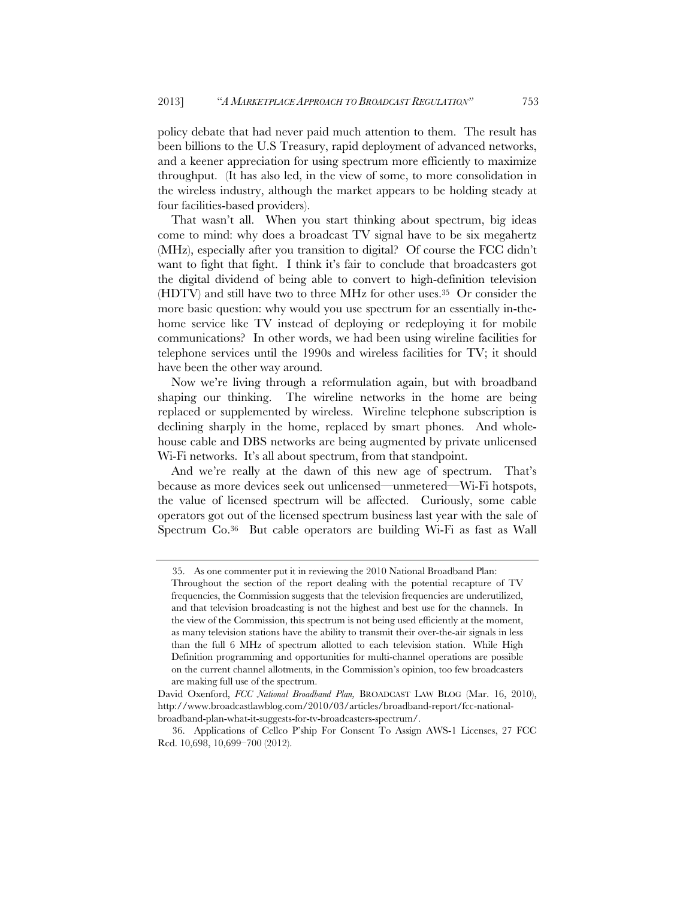policy debate that had never paid much attention to them. The result has been billions to the U.S Treasury, rapid deployment of advanced networks, and a keener appreciation for using spectrum more efficiently to maximize throughput. (It has also led, in the view of some, to more consolidation in the wireless industry, although the market appears to be holding steady at four facilities-based providers).

That wasn't all. When you start thinking about spectrum, big ideas come to mind: why does a broadcast TV signal have to be six megahertz (MHz), especially after you transition to digital? Of course the FCC didn't want to fight that fight. I think it's fair to conclude that broadcasters got the digital dividend of being able to convert to high-definition television (HDTV) and still have two to three MHz for other uses.35 Or consider the more basic question: why would you use spectrum for an essentially in-thehome service like TV instead of deploying or redeploying it for mobile communications? In other words, we had been using wireline facilities for telephone services until the 1990s and wireless facilities for TV; it should have been the other way around.

Now we're living through a reformulation again, but with broadband shaping our thinking. The wireline networks in the home are being replaced or supplemented by wireless. Wireline telephone subscription is declining sharply in the home, replaced by smart phones. And wholehouse cable and DBS networks are being augmented by private unlicensed Wi-Fi networks. It's all about spectrum, from that standpoint.

And we're really at the dawn of this new age of spectrum. That's because as more devices seek out unlicensed—unmetered—Wi-Fi hotspots, the value of licensed spectrum will be affected. Curiously, some cable operators got out of the licensed spectrum business last year with the sale of Spectrum Co.36 But cable operators are building Wi-Fi as fast as Wall

 <sup>35.</sup> As one commenter put it in reviewing the 2010 National Broadband Plan:

Throughout the section of the report dealing with the potential recapture of TV frequencies, the Commission suggests that the television frequencies are underutilized, and that television broadcasting is not the highest and best use for the channels. In the view of the Commission, this spectrum is not being used efficiently at the moment, as many television stations have the ability to transmit their over-the-air signals in less than the full 6 MHz of spectrum allotted to each television station. While High Definition programming and opportunities for multi-channel operations are possible on the current channel allotments, in the Commission's opinion, too few broadcasters are making full use of the spectrum.

David Oxenford, *FCC National Broadband Plan,* BROADCAST LAW BLOG (Mar. 16, 2010), http://www.broadcastlawblog.com/2010/03/articles/broadband-report/fcc-nationalbroadband-plan-what-it-suggests-for-tv-broadcasters-spectrum/.

 <sup>36.</sup> Applications of Cellco P'ship For Consent To Assign AWS-1 Licenses, 27 FCC Rcd. 10,698, 10,699–700 (2012).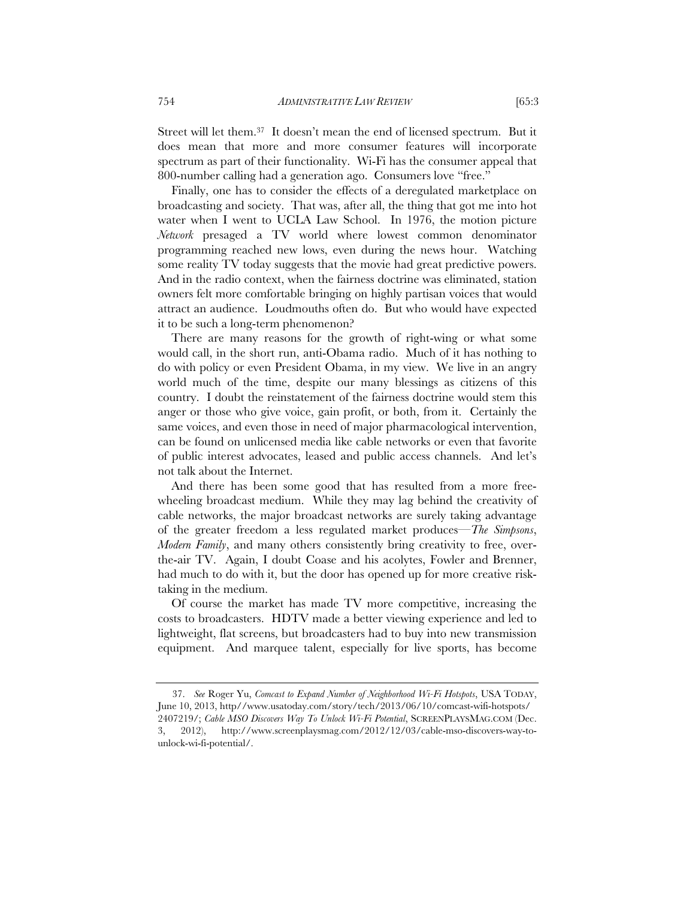Street will let them.37 It doesn't mean the end of licensed spectrum. But it does mean that more and more consumer features will incorporate spectrum as part of their functionality. Wi-Fi has the consumer appeal that 800-number calling had a generation ago. Consumers love "free."

Finally, one has to consider the effects of a deregulated marketplace on broadcasting and society. That was, after all, the thing that got me into hot water when I went to UCLA Law School. In 1976, the motion picture *Network* presaged a TV world where lowest common denominator programming reached new lows, even during the news hour. Watching some reality TV today suggests that the movie had great predictive powers. And in the radio context, when the fairness doctrine was eliminated, station owners felt more comfortable bringing on highly partisan voices that would attract an audience. Loudmouths often do. But who would have expected it to be such a long-term phenomenon?

There are many reasons for the growth of right-wing or what some would call, in the short run, anti-Obama radio. Much of it has nothing to do with policy or even President Obama, in my view. We live in an angry world much of the time, despite our many blessings as citizens of this country. I doubt the reinstatement of the fairness doctrine would stem this anger or those who give voice, gain profit, or both, from it. Certainly the same voices, and even those in need of major pharmacological intervention, can be found on unlicensed media like cable networks or even that favorite of public interest advocates, leased and public access channels. And let's not talk about the Internet.

And there has been some good that has resulted from a more freewheeling broadcast medium. While they may lag behind the creativity of cable networks, the major broadcast networks are surely taking advantage of the greater freedom a less regulated market produces—*The Simpsons*, *Modern Family*, and many others consistently bring creativity to free, overthe-air TV. Again, I doubt Coase and his acolytes, Fowler and Brenner, had much to do with it, but the door has opened up for more creative risktaking in the medium.

Of course the market has made TV more competitive, increasing the costs to broadcasters. HDTV made a better viewing experience and led to lightweight, flat screens, but broadcasters had to buy into new transmission equipment. And marquee talent, especially for live sports, has become

 <sup>37.</sup> *See* Roger Yu, *Comcast to Expand Number of Neighborhood Wi-Fi Hotspots*, USA TODAY, June 10, 2013, http//www.usatoday.com/story/tech/2013/06/10/comcast-wifi-hotspots/ 2407219/; *Cable MSO Discovers Way To Unlock Wi-Fi Potential*, SCREENPLAYSMAG.COM (Dec. 3, 2012), http://www.screenplaysmag.com/2012/12/03/cable-mso-discovers-way-tounlock-wi-fi-potential/.